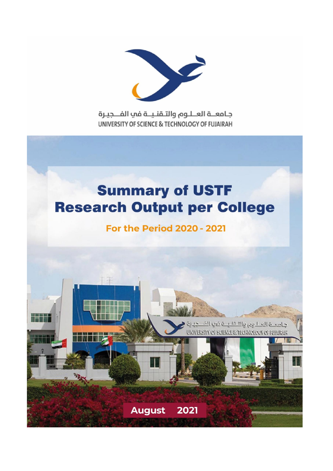

جامعــة العــلـوم والتـقنـيــة في الفـــجيـرة UNIVERSITY OF SCIENCE & TECHNOLOGY OF FUJAIRAH

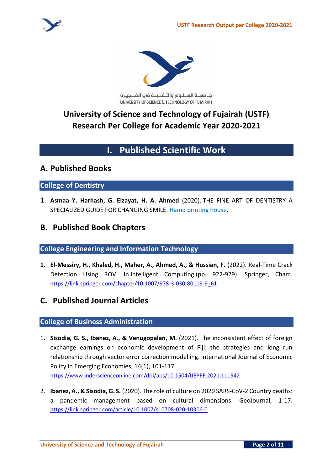

جامعــة العــلـوم والتـقنـيــة في الفـــجيـرة UNIVERSITY OF SCIENCE & TECHNOLOGY OF FUJAIRAH

# **University of Science and Technology of Fujairah (USTF) Research Per College for Academic Year 2020-2021**

# **I. Published Scientific Work**

## **A. Published Books**

### **College of Dentistry**

1. **Asmaa Y. Harhash, G. Elzayat, H. A. Ahmed** (2020). THE FINE ART OF DENTISTRY A SPECIALIZED GUIDE FOR CHANGING SMILE. Hamd printing house.

## **B. Published Book Chapters**

### **College Engineering and Information Technology**

**1. El-Messiry, H., Khaled, H., Maher, A., Ahmed, A., & Hussian, F.** (2022). Real-Time Crack Detection Using ROV. In Intelligent Computing (pp. 922-929). Springer, Cham. [https://link.springer.com/chapter/10.1007/978-3-030-80119-9\\_61](https://link.springer.com/chapter/10.1007/978-3-030-80119-9_61)

# **C. Published Journal Articles**

### **College of Business Administration**

- 1. **Sisodia, G. S., Ibanez, A., & Venugopalan, M.** (2021). The inconsistent effect of foreign exchange earnings on economic development of Fiji: the strategies and long run relationship through vector error correction modelling. International Journal of Economic Policy in Emerging Economies, 14(1), 101-117. https://www.inderscienceonline.com/doi/abs/10.1504/IJEPEE.2021.111942
- 2. **Ibanez, A., & Sisodia, G. S.** (2020). The role of culture on 2020 SARS-CoV-2 Country deaths: a pandemic management based on cultural dimensions. GeoJournal, 1-17. https://link.springer.com/article/10.1007/s10708-020-10306-0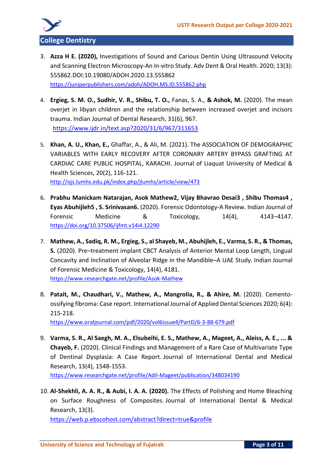

- 3. **Azza H E. (2020),** Investigations of Sound and Carious Dentin Using Ultrasound Velocity and Scanning Electron Microscopy-An In-vitro Study. Adv Dent & Oral Health. 2020; 13(3): 555862.DOI:10.19080/ADOH.2020.13.555862 <https://juniperpublishers.com/adoh/ADOH.MS.ID.555862.php>
- 4. **Ergieg, S. M. O., Sudhir, V. R., Shibu, T. O.,** Fanas, S. A., **& Ashok, M.** (2020). The mean overjet in libyan children and the relationship between increased overjet and incisors trauma. Indian Journal of Dental Research, 31(6), 967. <https://www.ijdr.in/text.asp?2020/31/6/967/311653>
- 5. **Khan, A. U., Khan, E.,** Ghaffar, A., & Ali, M. (2021). The ASSOCIATION OF DEMOGRAPHIC VARIABLES WITH EARLY RECOVERY AFTER CORONARY ARTERY BYPASS GRAFTING AT CARDIAC CARE PUBLIC HOSPITAL, KARACHI. Journal of Liaquat University of Medical & Health Sciences, 20(2), 116-121. http://ojs.lumhs.edu.pk/index.php/jlumhs/article/view/473
- 6. **Prabhu Manickam Natarajan, Asok Mathew2, Vijay Bhavrao Desai3 , Shibu Thomas4 , Eyas Abuhijleh5 , S. Srinivasan6.** (2020). Forensic Odontology-A Review. Indian Journal of Forensic Medicine & Toxicology, 14(4), 4143-4147. https://doi.org/10.37506/ijfmt.v14i4.12290
- 7. **Mathew, A., Sadiq, R. M., Ergieg, S., al Shayeb, M., Abuhijleh, E., Varma, S. R., & Thomas, S.** (2020). Pre–treatment implant CBCT Analysis of Anterior Mental Loop Length, Lingual Concavity and Inclination of Alveolar Ridge in the Mandible–A UAE Study. Indian Journal of Forensic Medicine & Toxicology, 14(4), 4181. [https://www.researchgate.net/profile/Asok-Mathew](https://www.researchgate.net/profile/Asok-Mathew/publication/346521803_Pre_-treatment_implant_CBCT_analysis_of_anterior_mental_loop_length_lingual_concavity_and_inclination_of_alveolar_ridge_in_the_mandible_-_A_UAE_study/links/5fc611e8a6fdcce952696ef6/Pre-treatment-implant-CBCT-analysis-of-anterior-mental-loop-length-lingual-concavity-and-inclination-of-alveolar-ridge-in-the-mandible-A-UAE-study.pdf)
- 8. **Patait, M., Chaudhari, V., Mathew, A., Mangrolia, R., & Ahire, M.** (2020). Cementoossifying fibroma: Case report. International Journal of Applied Dental Sciences 2020; 6(4): 215-218.

<https://www.oraljournal.com/pdf/2020/vol6issue4/PartD/6-3-88-679.pdf>

- 9. **Varma, S. R., Al Saegh, M. A., Elsubeihi, E. S., Mathew, A., Mageet, A., Aleiss, A. E., ... & Chayeb, F.** (2020). Clinical Findings and Management of a Rare Case of Multivariate Type of Dentinal Dysplasia: A Case Report. Journal of International Dental and Medical Research, 13(4), 1548-1553. [https://www.researchgate.net/profile/Adil-Mageet/publication/348034190](https://www.researchgate.net/profile/Adil-Mageet/publication/348034190_Rare_multivariate_type_of_dentinal_dysplasia_Volume_13_Number_4_2020_Page_1548_Clinical_Findings_and_Management_of_a_Rare_Case_of_Multivariate_Type_of_Dentinal_Dysplasia_A_Case_Report/links/5fed6edca6fdccdcb81b0900/Rare-multivariate-type-of-dentinal-dysplasia-Volume-13-Number-4-2020-Page-1548-Clinical-Findings-and-Management-of-a-Rare-Case-of-Multivariate-Type-of-Dentinal-Dysplasia-A-Case-Report.pdf)
- 10. **Al-Shekhli, A. A. R., & Aubi, I. A. A. (2020).** The Effects of Polishing and Home Bleaching on Surface Roughness of Composites. Journal of International Dental & Medical Research, 13(3). [https://web.p.ebscohost.com/abstract?direct=true&profile](https://web.p.ebscohost.com/abstract?direct=true&profile=ehost&scope=site&authtype=crawler&jrnl=1309100X&AN=146412167&h=wNRISR7n1re1vfWrUKcvMBeVPbGydwdGVZvgRkodSp3h%2fww0POzwX24k3nINNxlYDwKjVMeDlCVNBQ8mzS6gKw%3d%3d&crl=c&resultNs=AdminWebAuth&resultLocal=ErrCrlNotAuth&crlhashurl=login.aspx%3fdirect%3dtrue%26profile%3dehost%26scope%3dsite%26authtype%3dcrawler%26jrnl%3d1309100X%26AN%3d146412167)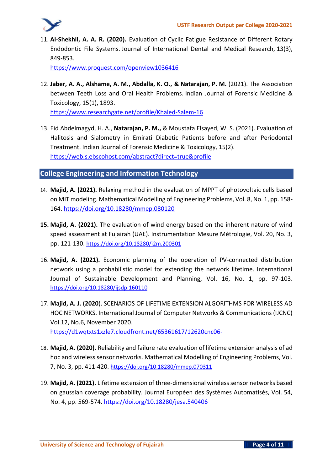

11. **Al-Shekhli, A. A. R. (2020).** Evaluation of Cyclic Fatigue Resistance of Different Rotary Endodontic File Systems. Journal of International Dental and Medical Research, 13(3), 849-853.

[https://www.proquest.com/openview1036416](https://www.proquest.com/openview/bbddb0f833a2b46cd6eaec29ccf88d6f/1?pq-origsite=gscholar&cbl=1036416)

12. **Jaber, A. A., Alshame, A. M., Abdalla, K. O., & Natarajan, P. M.** (2021). The Association between Teeth Loss and Oral Health Problems. Indian Journal of Forensic Medicine & Toxicology, 15(1), 1893.

[https://www.researchgate.net/profile/Khaled-Salem-16](https://www.researchgate.net/profile/Khaled-Salem-16/publication/351015042_The_Association_between_Teeth_Loss_and_Oral_Health_Problems/links/607f7e8e907dcf667bb113a1/The-Association-between-Teeth-Loss-and-Oral-Health-Problems.pdf)

13. Eid Abdelmagyd, H. A., **Natarajan, P. M.,** & Moustafa Elsayed, W. S. (2021). Evaluation of Halitosis and Sialometry in Emirati Diabetic Patients before and after Periodontal Treatment. Indian Journal of Forensic Medicine & Toxicology, 15(2). [https://web.s.ebscohost.com/abstract?direct=true&profile](https://web.s.ebscohost.com/abstract?direct=true&profile=ehost&scope=site&authtype=crawler&jrnl=09739122&AN=150862552&h=QmfhOOOT1wmV5U4aRLFCSEdw5YTs2FEHqBQDXsb4ipt6hzZTEvwDZInYY5k51OCDMcEy8QblH8ltXJkZ%2foJ6Gw%3d%3d&crl=c&resultNs=AdminWebAuth&resultLocal=ErrCrlNotAuth&crlhashurl=login.aspx%3fdirect%3dtrue%26profile%3dehost%26scope%3dsite%26authtype%3dcrawler%26jrnl%3d09739122%26AN%3d150862552)

**College Engineering and Information Technology**

- 14. **Majid, A. (2021).** Relaxing method in the evaluation of MPPT of photovoltaic cells based on MIT modeling. Mathematical Modelling of Engineering Problems, Vol. 8, No. 1, pp. 158- 164.<https://doi.org/10.18280/mmep.080120>
- **15. Majid, A. (2021).** The evaluation of wind energy based on the inherent nature of wind speed assessment at Fujairah (UAE). Instrumentation Mesure Métrologie, Vol. 20, No. 3, pp. 121-130. <https://doi.org/10.18280/i2m.200301>
- 16. **Majid, A. (2021).** Economic planning of the operation of PV-connected distribution network using a probabilistic model for extending the network lifetime. International Journal of Sustainable Development and Planning, Vol. 16, No. 1, pp. 97-103. <https://doi.org/10.18280/ijsdp.160110>
- 17. **Majid, A. J. (2020**). SCENARIOS OF LIFETIME EXTENSION ALGORITHMS FOR WIRELESS AD HOC NETWORKS. International Journal of Computer Networks & Communications (IJCNC) Vol.12, No.6, November 2020. <https://d1wqtxts1xzle7.cloudfront.net/65361617/12620cnc06->
- 18. **Majid, A. (2020).** Reliability and failure rate evaluation of lifetime extension analysis of ad hoc and wireless sensor networks. Mathematical Modelling of Engineering Problems, Vol. 7, No. 3, pp. 411-420. <https://doi.org/10.18280/mmep.070311>
- 19. **Majid, A. (2021).** Lifetime extension of three-dimensional wireless sensor networks based on gaussian coverage probability. Journal Européen des Systèmes Automatisés, Vol. 54, No. 4, pp. 569-574.<https://doi.org/10.18280/jesa.540406>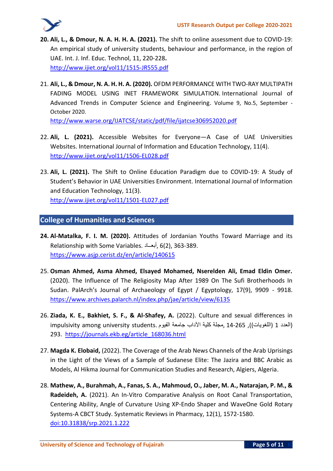- **20. Ali, L., & Dmour, N. A. H. H. A. (2021).** The shift to online assessment due to COVID-19: An empirical study of university students, behaviour and performance, in the region of UAE. Int. J. Inf. Educ. Technol, 11, 220-228**.** <http://www.ijiet.org/vol11/1515-JR555.pdf>
- 21. **Ali, L., & Dmour, N. A. H. H. A. (2020).** OFDM PERFORMANCE WITH TWO-RAY MULTIPATH FADING MODEL USING INET FRAMEWORK SIMULATION. International Journal of Advanced Trends in Computer Science and Engineering. Volume 9, No.5, September - October 2020.

http://www.warse.org/IJATCSE/static/pdf/file/ijatcse306952020.pdf

- 22. **Ali, L. (2021).** Accessible Websites for Everyone—A Case of UAE Universities Websites. International Journal of Information and Education Technology, 11(4). <http://www.ijiet.org/vol11/1506-EL028.pdf>
- 23. **Ali, L. (2021).** The Shift to Online Education Paradigm due to COVID-19: A Study of Student's Behavior in UAE Universities Environment. International Journal of Information and Education Technology, 11(3).

<http://www.ijiet.org/vol11/1501-EL027.pdf>

#### **College of Humanities and Sciences**

- **24. Al-Matalka, F. I. M. (2020).** Attitudes of Jordanian Youths Toward Marriage and its Relationship with Some Variables. أبعــاد, 6)2(, 363-389. <https://www.asjp.cerist.dz/en/article/140615>
- 25. **Osman Ahmed, Asma Ahmed, Elsayed Mohamed, Nserelden Ali, Emad Eldin Omer.**  (2020). The Influence of The Religiosity Map After 1989 On The Sufi Brotherhoods In Sudan. PalArch's Journal of Archaeology of Egypt / Egyptology, 17(9), 9909 - 9918. <https://www.archives.palarch.nl/index.php/jae/article/view/6135>
- 26. **Ziada, K. E., Bakhiet, S. F., & Al-Shafey, A.** (2022). Culture and sexual differences in impulsivity among university students. مجلة كلية الآداب جامعة الفيوم, 14-265 impulsivity among university students 293. [https://journals.ekb.eg/article\\_168036.html](https://journals.ekb.eg/article_168036.html)
- 27. **Magda K. Elobaid,** (2022). The Coverage of the Arab News Channels of the Arab Uprisings in the Light of the Views of a Sample of Sudanese Elite: The Jazira and BBC Arabic as Models, Al Hikma Journal for Communication Studies and Research, Algiers, Algeria.
- 28. **Mathew, A., Burahmah, A., Fanas, S. A., Mahmoud, O., Jaber, M. A., Natarajan, P. M., & Radeideh, A.** (2021). An In-Vitro Comparative Analysis on Root Canal Transportation, Centering Ability, Angle of Curvature Using XP-Endo Shaper and WaveOne Gold Rotary Systems-A CBCT Study. Systematic Reviews in Pharmacy, 12(1), 1572-1580. [doi:10.31838/srp.2021.1.222](http://dx.doi.org/10.31838/srp.2021.1.222)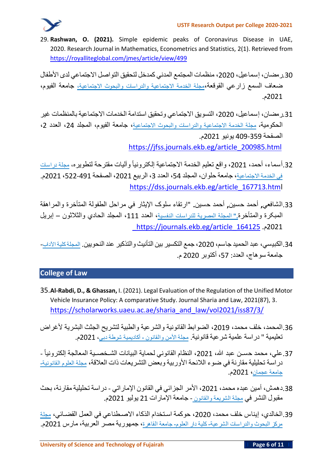

29. **Rashwan, O. (2021).** Simple epidemic peaks of Coronavirus Disease in UAE, 2020. Research Journal in Mathematics, Econometrics and Statistics, 2(1). Retrieved from <https://royalliteglobal.com/jmes/article/view/499>

30 رمضان، إسماعيل، 2020، منظمات المجتمع المدني كمدخل لتحقيق التواصل الاجتماعي لدى الأطفال ضعاف السمع زارعي القوقعة،مجلة الخدمة االجتماعية والدراسات والبحوث االجتماعية، جامعة الفيوم، 2021م.

- 31 رمضان، إسماعيل، 2020، التسويق الاجتماعي وتحقيق استدامة الخدمات الاجتماعية بالمنظمات غير الحكومية، مجلة الخدمة الاجتماعية والدراسات والبحوث الاجتماعية، جامعة الفيوم، المجلد 24، العدد 2، الصفحة 409-359 يونيو 2021م. [https://jfss.journals.ekb.eg/article\\_200985.html](https://jfss.journals.ekb.eg/article_200985.html)
- 32.أسماء، أحمد، 2021، واقع تعليم الخدمة الاجتماعية إلكترونياً وآليات مقترحة لتطويره، مجلة دراسات في الخدمة الاجتماعية، جامعة حلوان، المجلد 54، العدد 3، الربيع 2021، الصفحة 491-522، 2021م. [https://dss.journals.ekb.eg/article\\_167713.html](https://dss.journals.ekb.eg/article_167713.html)
- .33الشافعي**,** أحمد حسين**,** أحمد حسين**.** "ارتقاء سلوک اإليثار في مراحل الطفولة المتأخرة والمراهقة المبکرة والمتأخرة**."** المجلة المصرية للدراسات النفسية، العدد ،111 المجلد الحادي والثالثون – إبريل [\\_](https://journals.ekb.eg/article_164125_383797861f8836e1d5458e0887d81365.pdf)[https://journals.ekb.eg/article\\_164125](https://journals.ekb.eg/article_164125_383797861f8836e1d5458e0887d81365.pdf) .م2021
- 34.الكبيسي، عبد الحميد جاسم، 2020، جمع التكسير بين التأنيث والتذكير عند النحويين. المجلةكلية الآداب-جامعة سوهاج، العدد: 57، أكتوبر 2020 م.

### **College of Law**

- 35.**Al-Rabdi, D., & Ghassan,** I. (2021). Legal Evaluation of the Regulation of the Unified Motor Vehicle Insurance Policy: A comparative Study. Journal Sharia and Law, 2021(87), 3 . [https://scholarworks.uaeu.ac.ae/sharia\\_and\\_law/vol2021/iss87/3/](https://scholarworks.uaeu.ac.ae/sharia_and_law/vol2021/iss87/3/)
- 36 المحمد، خلف محمد، 2019، الضوابط القانونية والشرعية والطبية لتشريح الجثث البشرية لأغراض تعليمية " دراسة علمية شرعية قانونية. مجلة األمن والقانون **-** أكاديمية شرطة دبي، 2021م.
- 37.علي، محمد حسـن عبد الله، 2021، النظام القانوني لحماية البيانات الشـخصـية المعالجة إلكترونياً -دراسـة تحليلية مقارنة في ضـوء الالئحة األوربية وبعض التشـريعات ذات العالقة، مجلة العلوم القانونية**-** جامعة عجمان، 2021م.
- 38 دهمش، أمين عبده محمد، 2021، الأمر الجزائي في القانون الإماراتي دراسة تحليلية مقارنة، بحث مقبول النشر في مجلة الشريعة والقانون - جامعة اإلمارات 21 يوليو 2021م.
- 39.الخالدي، إيناس خلف محمد، 2020، حوكمة استخدام الذكاء الاصـطناعي في العمل القضـائي، مجلة مركز البحوث والدراسات الشرعية**-** كلية دار العلوم**-** جامعة القاهرة، جمهورية مصر العربية، مارس 2021م.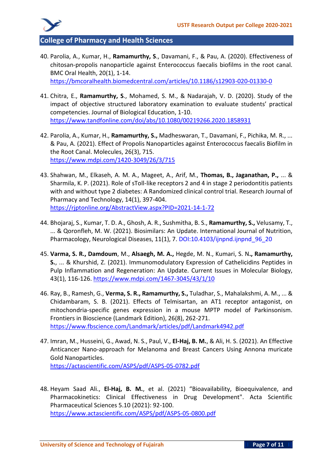

**College of Pharmacy and Health Sciences**

40. Parolia, A., Kumar, H., **Ramamurthy, S**., Davamani, F., & Pau, A. (2020). Effectiveness of chitosan-propolis nanoparticle against Enterococcus faecalis biofilms in the root canal. BMC Oral Health, 20(1), 1-14.

<https://bmcoralhealth.biomedcentral.com/articles/10.1186/s12903-020-01330-0>

- 41. Chitra, E., **Ramamurthy, S**., Mohamed, S. M., & Nadarajah, V. D. (2020). Study of the impact of objective structured laboratory examination to evaluate students' practical competencies. Journal of Biological Education, 1-10. <https://www.tandfonline.com/doi/abs/10.1080/00219266.2020.1858931>
- 42. Parolia, A., Kumar, H., **Ramamurthy, S.,** Madheswaran, T., Davamani, F., Pichika, M. R., ... & Pau, A. (2021). Effect of Propolis Nanoparticles against Enterococcus faecalis Biofilm in the Root Canal. Molecules, 26(3), 715. <https://www.mdpi.com/1420-3049/26/3/715>
- 43. Shahwan, M., Elkaseh, A. M. A., Mageet, A., Arif, M., **Thomas, B., Jaganathan, P.,** ... & Sharmila, K. P. (2021). Role of sToll-like receptors 2 and 4 in stage 2 periodontitis patients with and without type 2 diabetes: A Randomized clinical control trial. Research Journal of Pharmacy and Technology, 14(1), 397-404. <https://rjptonline.org/AbstractView.aspx?PID=2021-14-1-72>
- 44. Bhojaraj, S., Kumar, T. D. A., Ghosh, A. R., Sushmitha, B. S., **Ramamurthy, S.,** Velusamy, T., ... & Qoronfleh, M. W. (2021). Biosimilars: An Update. International Journal of Nutrition, Pharmacology, Neurological Diseases, 11(1), 7. DOI:10.4103/ijnpnd.ijnpnd 96 20
- 45. **Varma, S. R., Damdoum**, M., **Alsaegh, M. A.,** Hegde, M. N., Kumari, S. N**., Ramamurthy, S.**, ... & Khurshid, Z. (2021). Immunomodulatory Expression of Cathelicidins Peptides in Pulp Inflammation and Regeneration: An Update. Current Issues in Molecular Biology, 43(1), 116-126. <https://www.mdpi.com/1467-3045/43/1/10>
- 46. Ray, B., Ramesh, G., **Verma, S. R., Ramamurthy, S.,** Tuladhar, S., Mahalakshmi, A. M., ... & Chidambaram, S. B. (2021). Effects of Telmisartan, an AT1 receptor antagonist, on mitochondria-specific genes expression in a mouse MPTP model of Parkinsonism. Frontiers in Bioscience (Landmark Edition), 26(8), 262-271. <https://www.fbscience.com/Landmark/articles/pdf/Landmark4942.pdf>
- 47. Imran, M., Husseini, G., Awad, N. S., Paul, V., **El-Haj, B. M.**, & Ali, H. S. (2021). An Effective Anticancer Nano-approach for Melanoma and Breast Cancers Using Annona muricate Gold Nanoparticles. <https://actascientific.com/ASPS/pdf/ASPS-05-0782.pdf>
- 48. Heyam Saad Ali., **El-Haj, B. M.**, et al. (2021) "Bioavailability, Bioequivalence, and Pharmacokinetics: Clinical Effectiveness in Drug Development". Acta Scientific Pharmaceutical Sciences 5.10 (2021): 92-100. <https://www.actascientific.com/ASPS/pdf/ASPS-05-0800.pdf>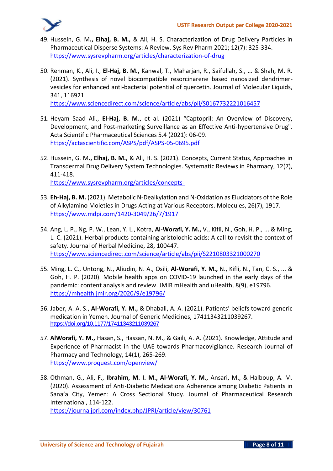

- 49. Hussein, G. M**., Elhaj, B. M.,** & Ali, H. S. Characterization of Drug Delivery Particles in Pharmaceutical Disperse Systems: A Review. Sys Rev Pharm 2021; 12(7): 325-334. [https://www.sysrevpharm.org/articles/characterization-of-drug](https://www.sysrevpharm.org/articles/characterization-of-drug-delivery-particles-in-pharmaceutical-disperse-systems-a-review.pdf)
- 50. Rehman, K., Ali, I., **El-Haj, B. M.,** Kanwal, T., Maharjan, R., Saifullah, S., ... & Shah, M. R. (2021). Synthesis of novel biocompatible resorcinarene based nanosized dendrimervesicles for enhanced anti-bacterial potential of quercetin. Journal of Molecular Liquids, 341, 116921.

<https://www.sciencedirect.com/science/article/abs/pii/S0167732221016457>

- 51. Heyam Saad Ali., **El-Haj, B. M.**, et al. (2021) "Captopril: An Overview of Discovery, Development, and Post-marketing Surveillance as an Effective Anti-hypertensive Drug". Acta Scientific Pharmaceutical Sciences 5.4 (2021): 06-09. <https://actascientific.com/ASPS/pdf/ASPS-05-0695.pdf>
- 52. Hussein, G. M**., Elhaj, B. M.,** & Ali, H. S. (2021). Concepts, Current Status, Approaches in Transdermal Drug Delivery System Technologies. Systematic Reviews in Pharmacy, 12(7), 411-418. [https://www.sysrevpharm.org/articles/concepts-](https://www.sysrevpharm.org/articles/concepts-current-status-approaches-in-transdermal-drug-delivery-system-technologies-82577.html%23cite)
- 53. **Eh-Haj, B. M.** (2021). Metabolic N-Dealkylation and N-Oxidation as Elucidators of the Role of Alkylamino Moieties in Drugs Acting at Various Receptors. Molecules, 26(7), 1917. <https://www.mdpi.com/1420-3049/26/7/1917>
- 54. Ang, L. P., Ng, P. W., Lean, Y. L., Kotra, **Al-Worafi, Y. M.,** V., Kifli, N., Goh, H. P., ... & Ming, L. C. (2021). Herbal products containing aristolochic acids: A call to revisit the context of safety. Journal of Herbal Medicine, 28, 100447. <https://www.sciencedirect.com/science/article/abs/pii/S2210803321000270>
- 55. Ming, L. C., Untong, N., Aliudin, N. A., Osili, **Al-Worafi, Y. M.,** N., Kifli, N., Tan, C. S., ... & Goh, H. P. (2020). Mobile health apps on COVID-19 launched in the early days of the pandemic: content analysis and review. JMIR mHealth and uHealth, 8(9), e19796. <https://mhealth.jmir.org/2020/9/e19796/>
- 56. Jaber, A. A. S., **Al-Worafi, Y. M.,** & Dhabali, A. A. (2021). Patients' beliefs toward generic medication in Yemen. Journal of Generic Medicines, 17411343211039267. **<https://doi.org/10.1177/17411343211039267>**
- 57. **AlWorafi, Y. M.,** Hasan, S., Hassan, N. M., & Gaili, A. A. (2021). Knowledge, Attitude and Experience of Pharmacist in the UAE towards Pharmacovigilance. Research Journal of Pharmacy and Technology, 14(1), 265-269. [https://www.proquest.com/openview/](https://www.proquest.com/openview/06a3a92a58ca07dba09dae0077a01534/1?pq-origsite=gscholar&cbl=1096441)
- 58. Othman, G., Ali, F., **Ibrahim, M. I. M., Al-Worafi, Y. M.,** Ansari, M., & Halboup, A. M. (2020). Assessment of Anti-Diabetic Medications Adherence among Diabetic Patients in Sana'a City, Yemen: A Cross Sectional Study. Journal of Pharmaceutical Research International, 114-122.

<https://journaljpri.com/index.php/JPRI/article/view/30761>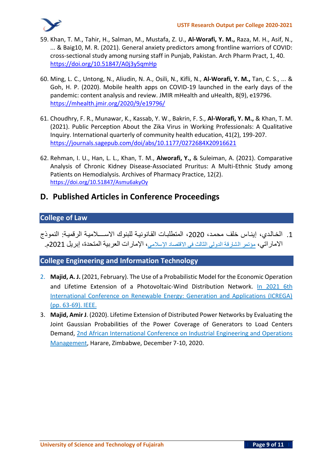

- 59. Khan, T. M., Tahir, H., Salman, M., Mustafa, Z. U., **Al-Worafi, Y. M.,** Raza, M. H., Asif, N., ... & Baig10, M. R. (2021). General anxiety predictors among frontline warriors of COVID: cross-sectional study among nursing staff in Punjab, Pakistan. Arch Pharm Pract, 1, 40. <https://doi.org/10.51847/A0j3y5qmHp>
- 60. Ming, L. C., Untong, N., Aliudin, N. A., Osili, N., Kifli, N., **Al-Worafi, Y. M.,** Tan, C. S., ... & Goh, H. P. (2020). Mobile health apps on COVID-19 launched in the early days of the pandemic: content analysis and review. JMIR mHealth and uHealth, 8(9), e19796. <https://mhealth.jmir.org/2020/9/e19796/>
- 61. Choudhry, F. R., Munawar, K., Kassab, Y. W., Bakrin, F. S., **Al-Worafi, Y. M.,** & Khan, T. M. (2021). Public Perception About the Zika Virus in Working Professionals: A Qualitative Inquiry. International quarterly of community health education, 41(2), 199-207. <https://journals.sagepub.com/doi/abs/10.1177/0272684X20916621>
- 62. Rehman, I. U., Han, L. L., Khan, T. M., **Alworafi, Y.,** & Suleiman, A. (2021). Comparative Analysis of Chronic Kidney Disease-Associated Pruritus: A Multi-Ethnic Study among Patients on Hemodialysis. Archives of Pharmacy Practice, 12(2). <https://doi.org/10.51847/Asmu6akyOy>

## **D. Published Articles in Conference Proceedings**

### **College of Law**

.1 الخـالـدي، إينـاس خلف محمـد، ،2020 المتطلبـات القـانونيـة للبنوك االســــالميـة الرقميـة: النموذج الاماراتي، مؤتمر الشارقة الدولي الثالث في الاقتصاد الإسلامي، الإمارات العربية المتحدة، إبريل 2021م.

### **College Engineering and Information Technology**

- 2. **Majid, A. J.** (2021, February). The Use of a Probabilistic Model for the Economic Operation and Lifetime Extension of a Photovoltaic-Wind Distribution Network. In 2021 6th International Conference on Renewable Energy: Generation and Applications (ICREGA) (pp. 63-69). IEEE.
- 3. **Majid, Amir J**. (2020). Lifetime Extension of Distributed Power Networks by Evaluating the Joint Gaussian Probabilities of the Power Coverage of Generators to Load Centers Demand, 2nd African International Conference on Industrial Engineering and Operations Management, Harare, Zimbabwe, December 7-10, 2020.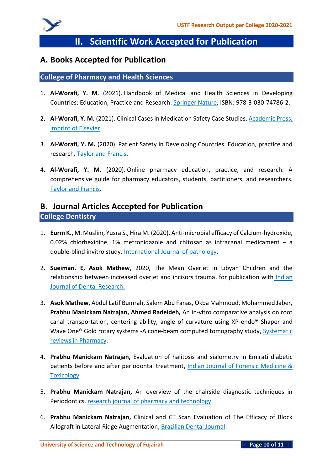

# **II. Scientific Work Accepted for Publication**

### **A. Books Accepted for Publication**

#### **College of Pharmacy and Health Sciences**

- 1. **Al-Worafi, Y. M**. (2021). Handbook of Medical and Health Sciences in Developing Countries: Education, Practice and Research. Springer Nature, ISBN: 978-3-030-74786-2.
- 2. **Al-Worafi, Y. M.** (2021). Clinical Cases in Medication Safety Case Studies. Academic Press, imprint of Elsevier.
- 3. **Al-Worafi, Y. M.** (2020). Patient Safety in Developing Countries: Education, practice and research. Taylor and Francis.
- 4. **Al-Worafi, Y. M.** (2020). Online pharmacy education, practice, and research: A comprehensive guide for pharmacy educators, students, partitioners, and researchers. Taylor and Francis.

### **B. Journal Articles Accepted for Publication College Dentistry**

- 1. **Eurm K.,** M. Muslim, Yusra S., Hira M. (2020). Anti-microbial efficacy of Calcium-hydroxide, 0.02% chlorhexidine, 1% metronidazole and chitosan as intracanal medicament – a double-blind invitro study. International Journal of pathology.
- 2. **Sueiman. E, Asok Mathew**, 2020, The Mean Overjet in Libyan Children and the relationship between increased overjet and incisors trauma, for publication with Indian Journal of Dental Research.
- 3. **Asok Mathew**, Abdul Latif Bumrah, Salem Abu Fanas, Okba Mahmoud, Mohammed Jaber, **Prabhu Manickam Natrajan, Ahmed Radeideh,** An in-vitro comparative analysis on root canal transportation, centering ability, angle of curvature using XP-endo® Shaper and Wave One® Gold rotary systems -A cone-beam computed tomography study, Systematic reviews in Pharmacy.
- 4. **Prabhu Manickam Natrajan,** Evaluation of halitosis and sialometry in Emirati diabetic patients before and after periodontal treatment, Indian Journal of Forensic Medicine & Toxicology.
- 5. **Prabhu Manickam Natrajan,** An overview of the chairside diagnostic techniques in Periodontics, research journal of pharmacy and technology.
- 6. **Prabhu Manickam Natrajan,** Clinical and CT Scan Evaluation of The Efficacy of Block Allograft in Lateral Ridge Augmentation, Brazilian Dental Journal.